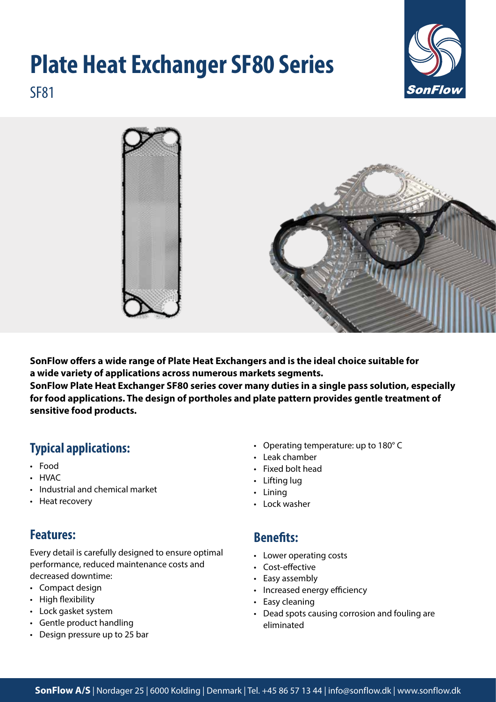# **Plate Heat Exchanger SF80 Series**



SF81



**SonFlow offers a wide range of Plate Heat Exchangers and is the ideal choice suitable for a wide variety of applications across numerous markets segments. SonFlow Plate Heat Exchanger SF80 series cover many duties in a single pass solution, especially for food applications. The design of portholes and plate pattern provides gentle treatment of sensitive food products.**

# **Typical applications:**

- Food
- HVAC
- Industrial and chemical market
- Heat recovery

## **Features:**

Every detail is carefully designed to ensure optimal performance, reduced maintenance costs and decreased downtime:

- Compact design
- High flexibility
- Lock gasket system
- Gentle product handling
- Design pressure up to 25 bar
- Operating temperature: up to 180° C
- Leak chamber
- Fixed bolt head
- Lifting lug
- Lining
- Lock washer

#### **Benefits:**

- Lower operating costs
- Cost-effective
- Easy assembly
- Increased energy efficiency
- Easy cleaning
- Dead spots causing corrosion and fouling are eliminated